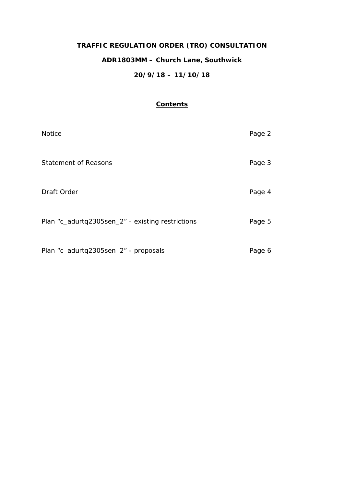# **TRAFFIC REGULATION ORDER (TRO) CONSULTATION**

# **ADR1803MM – Church Lane, Southwick**

## **20/9/18 – 11/10/18**

## **Contents**

| <b>Notice</b>                                    | Page 2 |
|--------------------------------------------------|--------|
| <b>Statement of Reasons</b>                      | Page 3 |
| Draft Order                                      | Page 4 |
| Plan "c_adurtq2305sen_2" - existing restrictions | Page 5 |
| Plan "c_adurtq2305sen_2" - proposals             | Page 6 |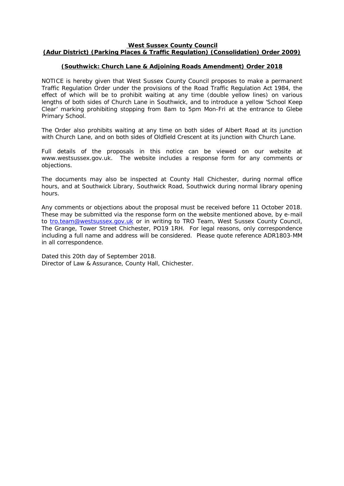#### **West Sussex County Council**

## **(Adur District) (Parking Places & Traffic Regulation) (Consolidation) Order 2009)**

#### **(Southwick: Church Lane & Adjoining Roads Amendment) Order 2018**

NOTICE is hereby given that West Sussex County Council proposes to make a permanent Traffic Regulation Order under the provisions of the Road Traffic Regulation Act 1984, the effect of which will be to prohibit waiting at any time (double yellow lines) on various lengths of both sides of Church Lane in Southwick, and to introduce a yellow 'School Keep Clear' marking prohibiting stopping from 8am to 5pm Mon-Fri at the entrance to Glebe Primary School.

The Order also prohibits waiting at any time on both sides of Albert Road at its junction with Church Lane, and on both sides of Oldfield Crescent at its junction with Church Lane.

Full details of the proposals in this notice can be viewed on our website at www.westsussex.gov.uk. The website includes a response form for any comments or objections.

The documents may also be inspected at County Hall Chichester, during normal office hours, and at Southwick Library, Southwick Road, Southwick during normal library opening hours.

Any comments or objections about the proposal must be received before 11 October 2018. These may be submitted via the response form on the website mentioned above, by e-mail to [tro.team@westsussex.gov.uk](mailto:tro.team@westsussex.gov.uk) or in writing to TRO Team, West Sussex County Council, The Grange, Tower Street Chichester, PO19 1RH. For legal reasons, only correspondence including a full name and address will be considered. Please quote reference ADR1803-MM in all correspondence.

Dated this 20th day of September 2018. Director of Law & Assurance, County Hall, Chichester.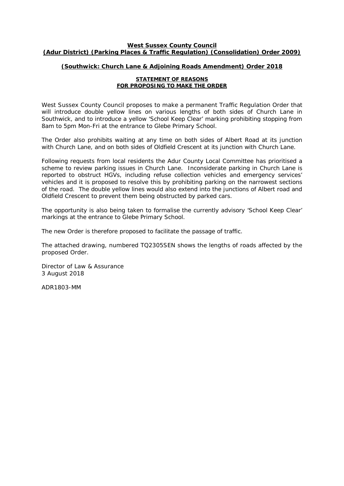#### **West Sussex County Council (Adur District) (Parking Places & Traffic Regulation) (Consolidation) Order 2009)**

## **(Southwick: Church Lane & Adjoining Roads Amendment) Order 2018**

#### **STATEMENT OF REASONS FOR PROPOSING TO MAKE THE ORDER**

West Sussex County Council proposes to make a permanent Traffic Regulation Order that will introduce double yellow lines on various lengths of both sides of Church Lane in Southwick, and to introduce a yellow 'School Keep Clear' marking prohibiting stopping from 8am to 5pm Mon-Fri at the entrance to Glebe Primary School.

The Order also prohibits waiting at any time on both sides of Albert Road at its junction with Church Lane, and on both sides of Oldfield Crescent at its junction with Church Lane.

Following requests from local residents the Adur County Local Committee has prioritised a scheme to review parking issues in Church Lane. Inconsiderate parking in Church Lane is reported to obstruct HGVs, including refuse collection vehicles and emergency services' vehicles and it is proposed to resolve this by prohibiting parking on the narrowest sections of the road. The double yellow lines would also extend into the junctions of Albert road and Oldfield Crescent to prevent them being obstructed by parked cars.

The opportunity is also being taken to formalise the currently advisory 'School Keep Clear' markings at the entrance to Glebe Primary School.

The new Order is therefore proposed to facilitate the passage of traffic.

The attached drawing, numbered TQ2305SEN shows the lengths of roads affected by the proposed Order.

Director of Law & Assurance 3 August 2018

ADR1803-MM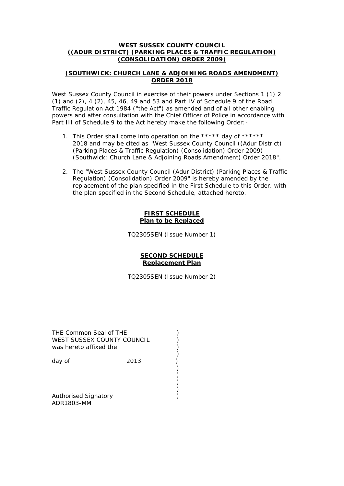#### **WEST SUSSEX COUNTY COUNCIL ((ADUR DISTRICT) (PARKING PLACES & TRAFFIC REGULATION) (CONSOLIDATION) ORDER 2009)**

## **(SOUTHWICK: CHURCH LANE & ADJOINING ROADS AMENDMENT) ORDER 2018**

West Sussex County Council in exercise of their powers under Sections 1 (1) 2 (1) and (2), 4 (2), 45, 46, 49 and 53 and Part IV of Schedule 9 of the Road Traffic Regulation Act 1984 ("the Act") as amended and of all other enabling powers and after consultation with the Chief Officer of Police in accordance with Part III of Schedule 9 to the Act hereby make the following Order: -

- 1. This Order shall come into operation on the \*\*\*\*\* day of \*\*\*\*\*\* 2018 and may be cited as "West Sussex County Council ((Adur District) (Parking Places & Traffic Regulation) (Consolidation) Order 2009) (Southwick: Church Lane & Adjoining Roads Amendment) Order 2018".
- 2. The "West Sussex County Council (Adur District) (Parking Places & Traffic Regulation) (Consolidation) Order 2009" is hereby amended by the replacement of the plan specified in the First Schedule to this Order, with the plan specified in the Second Schedule, attached hereto.

#### **FIRST SCHEDULE Plan to be Replaced**

TQ2305SEN (Issue Number 1)

#### **SECOND SCHEDULE Replacement Plan**

TQ2305SEN (Issue Number 2)

| THE Common Seal of THE<br>WEST SUSSEX COUNTY COUNCIL<br>was hereto affixed the |      |  |
|--------------------------------------------------------------------------------|------|--|
| day of                                                                         | 2013 |  |
|                                                                                |      |  |
| <b>Authorised Signatory</b>                                                    |      |  |

ADR1803-MM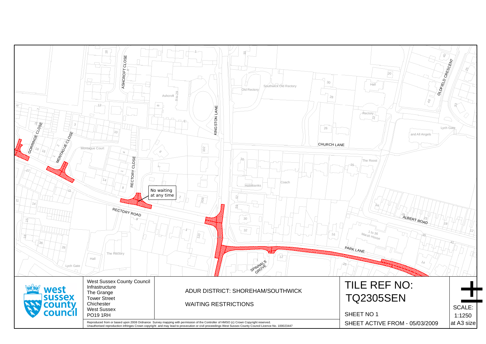